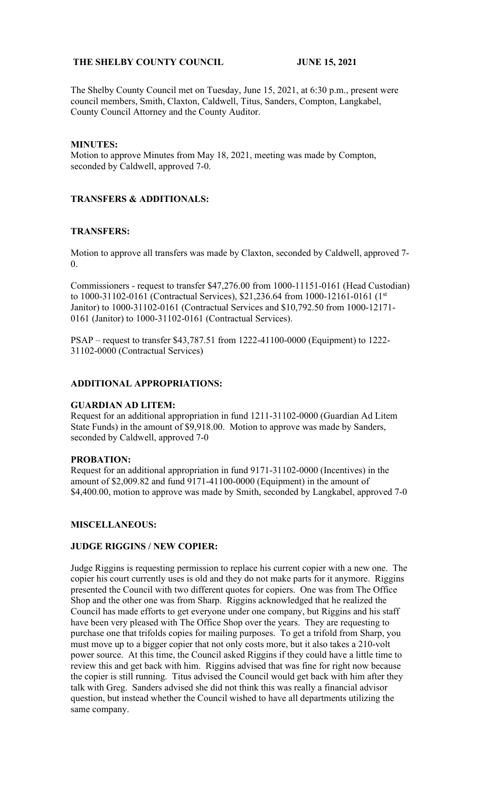# **THE SHELBY COUNTY COUNCIL JUNE 15, 2021**

The Shelby County Council met on Tuesday, June 15, 2021, at 6:30 p.m., present were council members, Smith, Claxton, Caldwell, Titus, Sanders, Compton, Langkabel, County Council Attorney and the County Auditor.

## **MINUTES:**

Motion to approve Minutes from May 18, 2021, meeting was made by Compton, seconded by Caldwell, approved 7-0.

## **TRANSFERS & ADDITIONALS:**

## **TRANSFERS:**

Motion to approve all transfers was made by Claxton, seconded by Caldwell, approved 7- 0.

Commissioners - request to transfer \$47,276.00 from 1000-11151-0161 (Head Custodian) to 1000-31102-0161 (Contractual Services), \$21,236.64 from 1000-12161-0161 (1st Janitor) to 1000-31102-0161 (Contractual Services and \$10,792.50 from 1000-12171- 0161 (Janitor) to 1000-31102-0161 (Contractual Services).

PSAP – request to transfer \$43,787.51 from 1222-41100-0000 (Equipment) to 1222- 31102-0000 (Contractual Services)

## **ADDITIONAL APPROPRIATIONS:**

#### **GUARDIAN AD LITEM:**

Request for an additional appropriation in fund 1211-31102-0000 (Guardian Ad Litem State Funds) in the amount of \$9,918.00. Motion to approve was made by Sanders, seconded by Caldwell, approved 7-0

#### **PROBATION:**

Request for an additional appropriation in fund 9171-31102-0000 (Incentives) in the amount of \$2,009.82 and fund 9171-41100-0000 (Equipment) in the amount of \$4,400.00, motion to approve was made by Smith, seconded by Langkabel, approved 7-0

#### **MISCELLANEOUS:**

## **JUDGE RIGGINS / NEW COPIER:**

Judge Riggins is requesting permission to replace his current copier with a new one. The copier his court currently uses is old and they do not make parts for it anymore. Riggins presented the Council with two different quotes for copiers. One was from The Office Shop and the other one was from Sharp. Riggins acknowledged that he realized the Council has made efforts to get everyone under one company, but Riggins and his staff have been very pleased with The Office Shop over the years. They are requesting to purchase one that trifolds copies for mailing purposes. To get a trifold from Sharp, you must move up to a bigger copier that not only costs more, but it also takes a 210-volt power source. At this time, the Council asked Riggins if they could have a little time to review this and get back with him. Riggins advised that was fine for right now because the copier is still running. Titus advised the Council would get back with him after they talk with Greg. Sanders advised she did not think this was really a financial advisor question, but instead whether the Council wished to have all departments utilizing the same company.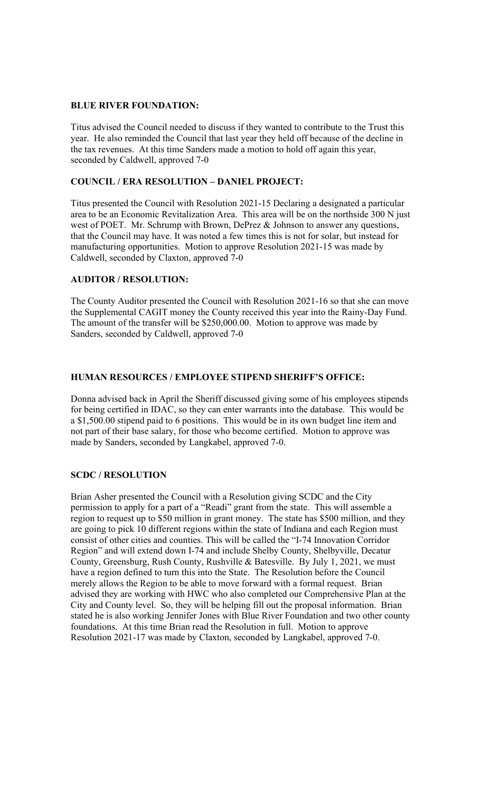## **BLUE RIVER FOUNDATION:**

Titus advised the Council needed to discuss if they wanted to contribute to the Trust this year. He also reminded the Council that last year they held off because of the decline in the tax revenues. At this time Sanders made a motion to hold off again this year, seconded by Caldwell, approved 7-0

## **COUNCIL / ERA RESOLUTION – DANIEL PROJECT:**

Titus presented the Council with Resolution 2021-15 Declaring a designated a particular area to be an Economic Revitalization Area. This area will be on the northside 300 N just west of POET. Mr. Schrump with Brown, DePrez & Johnson to answer any questions, that the Council may have. It was noted a few times this is not for solar, but instead for manufacturing opportunities. Motion to approve Resolution 2021-15 was made by Caldwell, seconded by Claxton, approved 7-0

# **AUDITOR / RESOLUTION:**

The County Auditor presented the Council with Resolution 2021-16 so that she can move the Supplemental CAGIT money the County received this year into the Rainy-Day Fund. The amount of the transfer will be \$250,000.00. Motion to approve was made by Sanders, seconded by Caldwell, approved 7-0

# **HUMAN RESOURCES / EMPLOYEE STIPEND SHERIFF'S OFFICE:**

Donna advised back in April the Sheriff discussed giving some of his employees stipends for being certified in IDAC, so they can enter warrants into the database. This would be a \$1,500.00 stipend paid to 6 positions. This would be in its own budget line item and not part of their base salary, for those who become certified. Motion to approve was made by Sanders, seconded by Langkabel, approved 7-0.

# **SCDC / RESOLUTION**

Brian Asher presented the Council with a Resolution giving SCDC and the City permission to apply for a part of a "Readi" grant from the state. This will assemble a region to request up to \$50 million in grant money. The state has \$500 million, and they are going to pick 10 different regions within the state of Indiana and each Region must consist of other cities and counties. This will be called the "I-74 Innovation Corridor Region" and will extend down I-74 and include Shelby County, Shelbyville, Decatur County, Greensburg, Rush County, Rushville & Batesville. By July 1, 2021, we must have a region defined to turn this into the State. The Resolution before the Council merely allows the Region to be able to move forward with a formal request. Brian advised they are working with HWC who also completed our Comprehensive Plan at the City and County level. So, they will be helping fill out the proposal information. Brian stated he is also working Jennifer Jones with Blue River Foundation and two other county foundations. At this time Brian read the Resolution in full. Motion to approve Resolution 2021-17 was made by Claxton, seconded by Langkabel, approved 7-0.